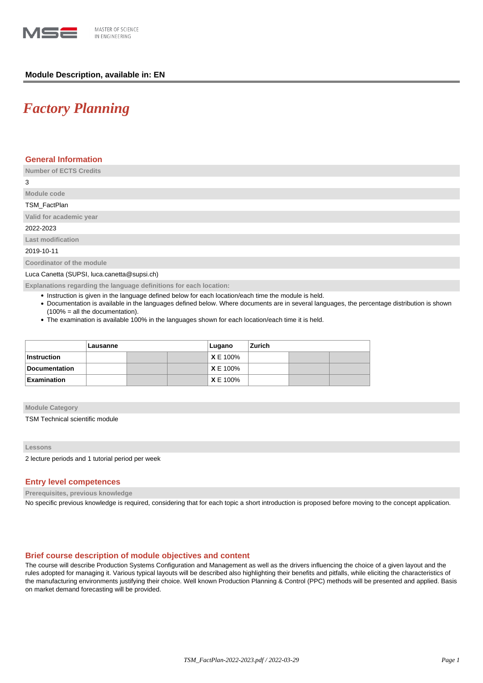

# **Module Description, available in: EN**

# *Factory Planning*

## **General Information**

**Number of ECTS Credits**

3

# **Module code** TSM\_FactPlan

**Valid for academic year**

2022-2023

**Last modification**

2019-10-11

**Coordinator of the module**

Luca Canetta (SUPSI, luca.canetta@supsi.ch)

**Explanations regarding the language definitions for each location:**

- Instruction is given in the language defined below for each location/each time the module is held.
- Documentation is available in the languages defined below. Where documents are in several languages, the percentage distribution is shown (100% = all the documentation).
- The examination is available 100% in the languages shown for each location/each time it is held.

|                    | Lausanne |  |  | Lugano          | Zurich |  |  |
|--------------------|----------|--|--|-----------------|--------|--|--|
| ∣Instruction       |          |  |  | <b>X</b> E 100% |        |  |  |
| Documentation      |          |  |  | <b>X</b> E 100% |        |  |  |
| <b>Examination</b> |          |  |  | <b>X</b> E 100% |        |  |  |

#### **Module Category**

TSM Technical scientific module

#### **Lessons**

2 lecture periods and 1 tutorial period per week

# **Entry level competences**

**Prerequisites, previous knowledge**

No specific previous knowledge is required, considering that for each topic a short introduction is proposed before moving to the concept application.

## **Brief course description of module objectives and content**

The course will describe Production Systems Configuration and Management as well as the drivers influencing the choice of a given layout and the rules adopted for managing it. Various typical layouts will be described also highlighting their benefits and pitfalls, while eliciting the characteristics of the manufacturing environments justifying their choice. Well known Production Planning & Control (PPC) methods will be presented and applied. Basis on market demand forecasting will be provided.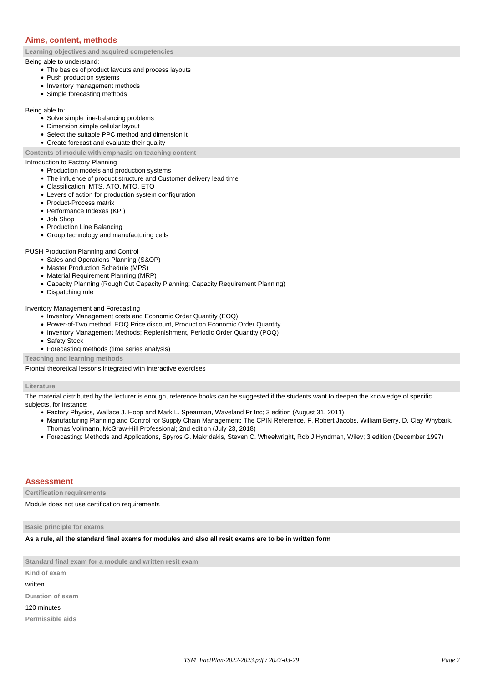# **Aims, content, methods**

**Learning objectives and acquired competencies**

#### Being able to understand:

- The basics of product layouts and process layouts
- Push production systems
- Inventory management methods
- Simple forecasting methods

Being able to:

- Solve simple line-balancing problems
- Dimension simple cellular layout
- Select the suitable PPC method and dimension it
- Create forecast and evaluate their quality

**Contents of module with emphasis on teaching content**

## Introduction to Factory Planning

- Production models and production systems
- The influence of product structure and Customer delivery lead time
- Classification: MTS, ATO, MTO, ETO
- Levers of action for production system configuration
- Product-Process matrix
- Performance Indexes (KPI)
- Job Shop
- Production Line Balancing
- Group technology and manufacturing cells

#### PUSH Production Planning and Control

- Sales and Operations Planning (S&OP)
- Master Production Schedule (MPS)
- Material Requirement Planning (MRP)
- Capacity Planning (Rough Cut Capacity Planning; Capacity Requirement Planning)
- Dispatching rule

#### Inventory Management and Forecasting

- Inventory Management costs and Economic Order Quantity (EOQ)
- Power-of-Two method, EOQ Price discount, Production Economic Order Quantity
- Inventory Management Methods; Replenishment, Periodic Order Quantity (POQ)
- Safety Stock
- Forecasting methods (time series analysis)

**Teaching and learning methods**

Frontal theoretical lessons integrated with interactive exercises

### **Literature**

The material distributed by the lecturer is enough, reference books can be suggested if the students want to deepen the knowledge of specific subjects, for instance:

- Factory Physics, Wallace J. Hopp and Mark L. Spearman, Waveland Pr Inc; 3 edition (August 31, 2011)
- Manufacturing Planning and Control for Supply Chain Management: The CPIN Reference, F. Robert Jacobs, William Berry, D. Clay Whybark, Thomas Vollmann, McGraw-Hill Professional; 2nd edition (July 23, 2018)
- Forecasting: Methods and Applications, Spyros G. Makridakis, Steven C. Wheelwright, Rob J Hyndman, Wiley; 3 edition (December 1997)

## **Assessment**

**Certification requirements**

Module does not use certification requirements

## **Basic principle for exams**

**As a rule, all the standard final exams for modules and also all resit exams are to be in written form**

**Standard final exam for a module and written resit exam**

**Kind of exam**

written

**Duration of exam**

#### 120 minutes

**Permissible aids**